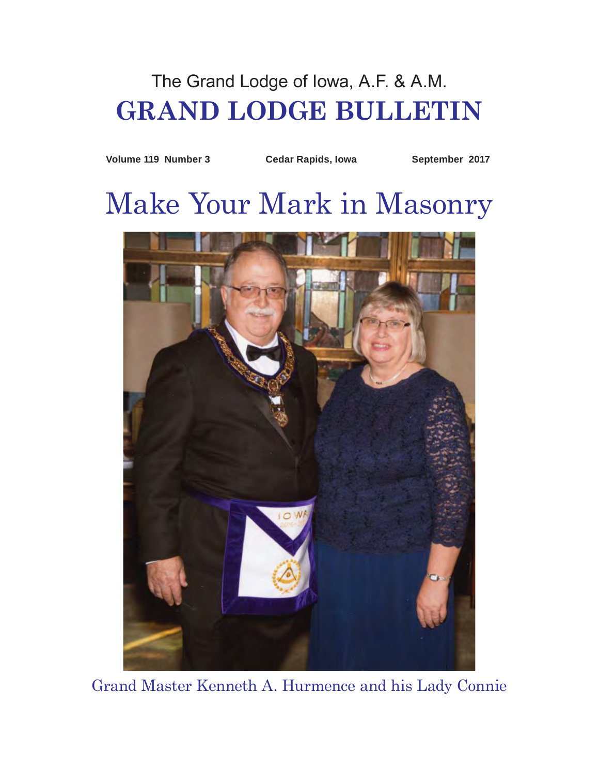## The Grand Lodge of Iowa, A.F. & A.M. **GRAND LODGE BULLETIN**

**Volume 119 Number 3 Cedar Rapids, Iowa September 2017**

# Make Your Mark in Masonry



Grand Master Kenneth A. Hurmence and his Lady Connie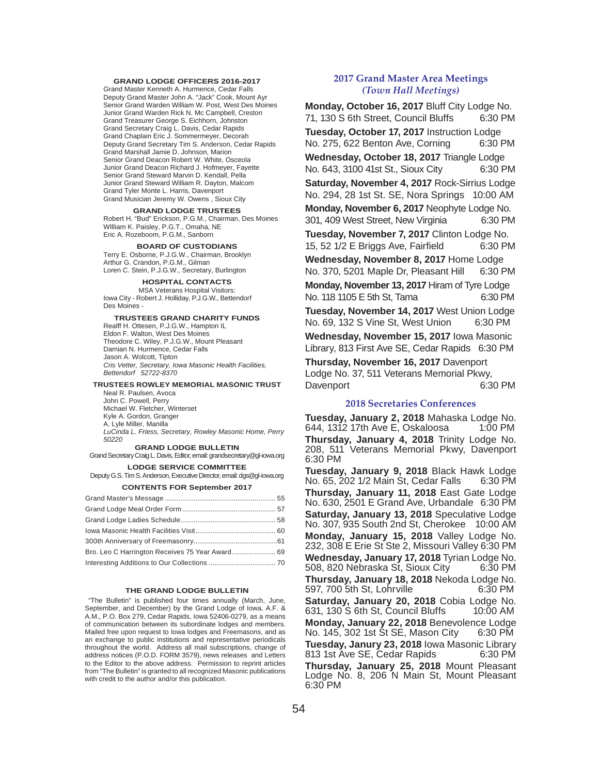#### **GRAND LODGE OFFICERS 2016-2017**

Grand Master Kenneth A. Hurmence, Cedar Falls Deputy Grand Master John A. "Jack" Cook, Mount Ayr Senior Grand Warden William W. Post, West Des Moines Junior Grand Warden Rick N. Mc Campbell, Creston Grand Treasurer George S. Eichhorn, Johnston Grand Secretary Craig L. Davis, Cedar Rapids Grand Chaplain Eric J. Sommermeyer, Decorah Deputy Grand Secretary Tim S. Anderson, Cedar Rapids Grand Marshall Jamie D. Johnson, Marion Senior Grand Deacon Robert W. White, Osceola Junior Grand Deacon Richard J. Hofmeyer, Fayette Senior Grand Steward Marvin D. Kendall, Pella Junior Grand Steward William R. Dayton, Malcom Grand Tyler Monte L. Harris, Davenport Grand Musician Jeremy W. Owens , Sioux City

#### **GRAND LODGE TRUSTEES**

Robert H. "Bud" Erickson, P.G.M., Chairman, Des Moines WIlliam K. Paisley, P.G.T., Omaha, NE Eric A. Rozeboom, P.G.M., Sanborn

#### **BOARD OF CUSTODIANS**

Terry E. Osborne, P.J.G.W., Chairman, Brooklyn Arthur G. Crandon, P.G.M., Gilman Loren C. Stein, P.J.G.W., Secretary, Burlington

**HOSPITAL CONTACTS**

MSA Veterans Hospital Visitors: Iowa City - Robert J. Holliday, P.J.G.W., Bettendorf Des Moines -

**TRUSTEES GRAND CHARITY FUNDS** Realff H. Ottesen, P.J.G.W., Hampton IL Eldon F. Walton, West Des Moines Theodore C. Wiley, P.J.G.W., Mount Pleasant Damian N. Hurmence, Cedar Falls Jason A. Wolcott, Tipton *Cris Vetter, Secretary, Iowa Masonic Health Facilities,* 

*Bettendorf 52722-8370*

#### **TRUSTEES ROWLEY MEMORIAL MASONIC TRUST** Neal R. Paulsen, Avoca John C. Powell, Perry Michael W. Fletcher, Winterset Kyle A. Gordon, Granger A. Lyle Miller, Manilla

*LuCinda L. Friess, Secretary, Rowley Masonic Home, Perry 50220*

#### **GRAND LODGE BULLETIN**

Grand Secretary Craig L. Davis, Editor, email: grandsecretary@gl-iowa.org **LODGE SERVICE COMMITTEE**

Deputy G.S. Tim S. Anderson, Executive Director, email: dgs@gl-iowa.org

#### **CONTENTS FOR September 2017**

| Bro. Leo C Harrington Receives 75 Year Award 69 |  |
|-------------------------------------------------|--|
|                                                 |  |

#### **THE GRAND LODGE BULLETIN**

"The Bulletin" is published four times annually (March, June, September, and December) by the Grand Lodge of Iowa, A.F. & A.M., P.O. Box 279, Cedar Rapids, Iowa 52406-0279, as a means of communication between its subordinate lodges and members. Mailed free upon request to Iowa lodges and Freemasons, and as an exchange to public institutions and representative periodicals throughout the world. Address all mail subscriptions, change of address notices (P.O.D. FORM 3579), news releases and Letters to the Editor to the above address. Permission to reprint articles from "The Bulletin" is granted to all recognized Masonic publications with credit to the author and/or this publication.

#### **2017 Grand Master Area Meetings** *(Town Hall Meetings)*

**Monday, October 16, 2017** Bluff City Lodge No. 71, 130 S 6th Street, Council Bluffs 6:30 PM **Tuesday, October 17, 2017** Instruction Lodge No. 275, 622 Benton Ave, Corning 6:30 PM **Wednesday, October 18, 2017** Triangle Lodge No. 643, 3100 41st St., Sioux City 6:30 PM **Saturday, November 4, 2017** Rock-Sirrius Lodge No. 294, 28 1st St. SE, Nora Springs 10:00 AM **Monday, November 6, 2017** Neophyte Lodge No. 301, 409 West Street, New Virginia 6:30 PM **Tuesday, November 7, 2017** Clinton Lodge No. 15, 52 1/2 E Briggs Ave, Fairfield 6:30 PM **Wednesday, November 8, 2017** Home Lodge No. 370, 5201 Maple Dr, Pleasant Hill 6:30 PM **Monday, November 13, 2017** Hiram of Tyre Lodge No. 118 1105 E 5th St, Tama 6:30 PM **Tuesday, November 14, 2017** West Union Lodge No. 69, 132 S Vine St, West Union 6:30 PM

**Wednesday, November 15, 2017** Iowa Masonic Library, 813 First Ave SE, Cedar Rapids 6:30 PM

**Thursday, November 16, 2017** Davenport Lodge No. 37, 511 Veterans Memorial Pkwy, Davenport 6:30 PM

#### **2018 Secretaries Conferences**

**Tuesday, January 2, 2018** Mahaska Lodge No. 644, 1312 17th Ave E, Oskaloosa 1:00 PM **Thursday, January 4, 2018** Trinity Lodge No. 208, 511 Veterans Memorial Pkwy, Davenport 6:30 PM

**Tuesday, January 9, 2018** Black Hawk Lodge No. 65, 202 1/2 Main St, Cedar Falls 6:30 PM **Thursday, January 11, 2018** East Gate Lodge No. 630, 2501 E Grand Ave, Urbandale 6:30 PM **Saturday, January 13, 2018** Speculative Lodge No. 307, 935 South 2nd St, Cherokee 10:00 AM **Monday, January 15, 2018** Valley Lodge No. 232, 308 E Erie St Ste 2, Missouri Valley 6:30 PM **Wednesday, January 17, 2018** Tyrian Lodge No. 508, 820 Nebraska St, Sioux City 6:30 PM **Thursday, January 18, 2018** Nekoda Lodge No. 597, 700 5th St, Lohrville 6:30 PM **Saturday, January 20, 2018** Cobia Lodge No.  $631, 130$  S 6th St, Council Bluffs **Monday, January 22, 2018** Benevolence Lodge No. 145, 302 1st St SE, Mason City 6:30 PM **Tuesday, Janury 23, 2018** Iowa Masonic Library 813 1st Ave SE, Cedar Rapids 6:30 PM **Thursday, January 25, 2018** Mount Pleasant Lodge No. 8, 206 N Main St, Mount Pleasant 6:30 PM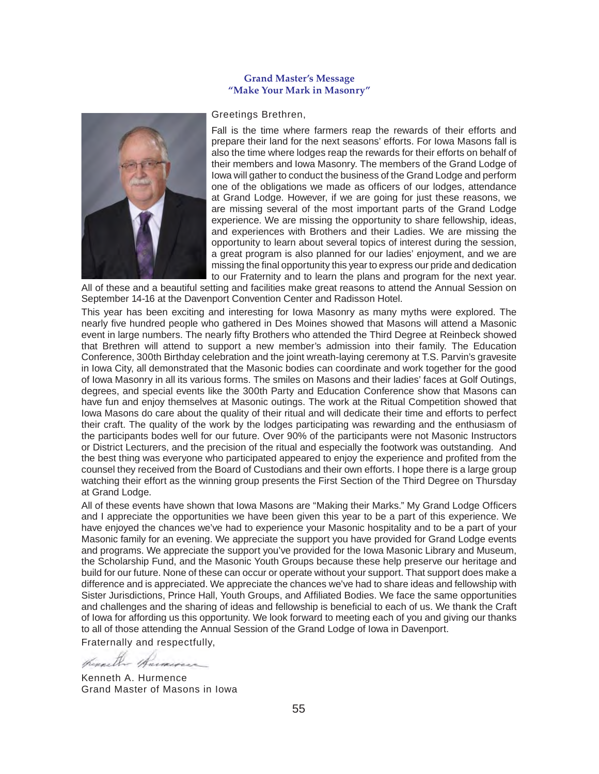#### **Grand Master's Message "Make Your Mark in Masonry"**



#### Greetings Brethren,

Fall is the time where farmers reap the rewards of their efforts and prepare their land for the next seasons' efforts. For Iowa Masons fall is also the time where lodges reap the rewards for their efforts on behalf of their members and Iowa Masonry. The members of the Grand Lodge of Iowa will gather to conduct the business of the Grand Lodge and perform one of the obligations we made as officers of our lodges, attendance at Grand Lodge. However, if we are going for just these reasons, we are missing several of the most important parts of the Grand Lodge experience. We are missing the opportunity to share fellowship, ideas, and experiences with Brothers and their Ladies. We are missing the opportunity to learn about several topics of interest during the session, a great program is also planned for our ladies' enjoyment, and we are missing the final opportunity this year to express our pride and dedication to our Fraternity and to learn the plans and program for the next year.

All of these and a beautiful setting and facilities make great reasons to attend the Annual Session on September 14-16 at the Davenport Convention Center and Radisson Hotel.

This year has been exciting and interesting for Iowa Masonry as many myths were explored. The nearly five hundred people who gathered in Des Moines showed that Masons will attend a Masonic event in large numbers. The nearly fifty Brothers who attended the Third Degree at Reinbeck showed that Brethren will attend to support a new member's admission into their family. The Education Conference, 300th Birthday celebration and the joint wreath-laying ceremony at T.S. Parvin's gravesite in Iowa City, all demonstrated that the Masonic bodies can coordinate and work together for the good of Iowa Masonry in all its various forms. The smiles on Masons and their ladies' faces at Golf Outings, degrees, and special events like the 300th Party and Education Conference show that Masons can have fun and enjoy themselves at Masonic outings. The work at the Ritual Competition showed that Iowa Masons do care about the quality of their ritual and will dedicate their time and efforts to perfect their craft. The quality of the work by the lodges participating was rewarding and the enthusiasm of the participants bodes well for our future. Over 90% of the participants were not Masonic Instructors or District Lecturers, and the precision of the ritual and especially the footwork was outstanding. And the best thing was everyone who participated appeared to enjoy the experience and profited from the counsel they received from the Board of Custodians and their own efforts. I hope there is a large group watching their effort as the winning group presents the First Section of the Third Degree on Thursday at Grand Lodge.

All of these events have shown that Iowa Masons are "Making their Marks." My Grand Lodge Officers and I appreciate the opportunities we have been given this year to be a part of this experience. We have enjoyed the chances we've had to experience your Masonic hospitality and to be a part of your Masonic family for an evening. We appreciate the support you have provided for Grand Lodge events and programs. We appreciate the support you've provided for the Iowa Masonic Library and Museum, the Scholarship Fund, and the Masonic Youth Groups because these help preserve our heritage and build for our future. None of these can occur or operate without your support. That support does make a difference and is appreciated. We appreciate the chances we've had to share ideas and fellowship with Sister Jurisdictions, Prince Hall, Youth Groups, and Affiliated Bodies. We face the same opportunities and challenges and the sharing of ideas and fellowship is beneficial to each of us. We thank the Craft of Iowa for affording us this opportunity. We look forward to meeting each of you and giving our thanks to all of those attending the Annual Session of the Grand Lodge of Iowa in Davenport.

Fraternally and respectfully,

Kenneth A. Hurmence Grand Master of Masons in Iowa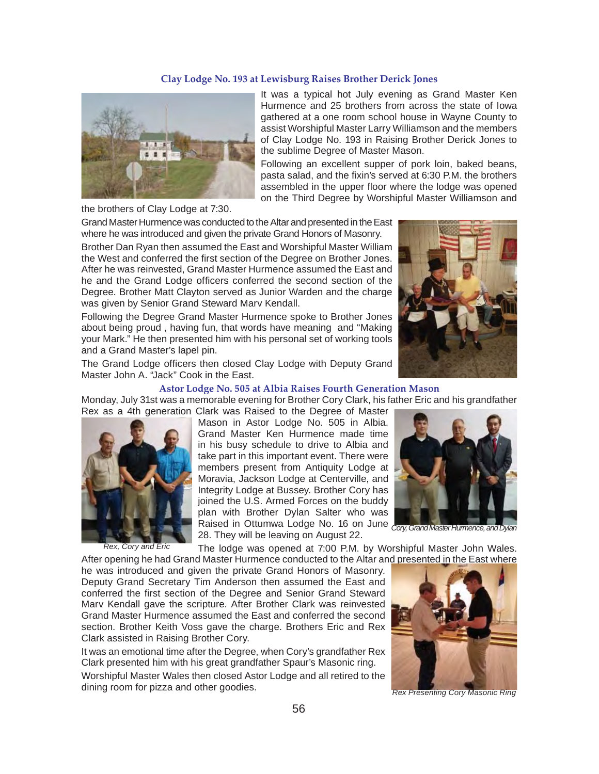#### **Clay Lodge No. 193 at Lewisburg Raises Brother Derick Jones**



It was a typical hot July evening as Grand Master Ken Hurmence and 25 brothers from across the state of Iowa gathered at a one room school house in Wayne County to assist Worshipful Master Larry Williamson and the members of Clay Lodge No. 193 in Raising Brother Derick Jones to the sublime Degree of Master Mason.

Following an excellent supper of pork loin, baked beans, pasta salad, and the fixin's served at 6:30 P.M. the brothers assembled in the upper floor where the lodge was opened on the Third Degree by Worshipful Master Williamson and

the brothers of Clay Lodge at 7:30.

Grand Master Hurmence was conducted to the Altar and presented in the East where he was introduced and given the private Grand Honors of Masonry.

Brother Dan Ryan then assumed the East and Worshipful Master William the West and conferred the first section of the Degree on Brother Jones. After he was reinvested, Grand Master Hurmence assumed the East and he and the Grand Lodge officers conferred the second section of the Degree. Brother Matt Clayton served as Junior Warden and the charge was given by Senior Grand Steward Marv Kendall.

Following the Degree Grand Master Hurmence spoke to Brother Jones about being proud , having fun, that words have meaning and "Making your Mark." He then presented him with his personal set of working tools and a Grand Master's lapel pin.



The Grand Lodge officers then closed Clay Lodge with Deputy Grand Master John A. "Jack" Cook in the East.

#### **Astor Lodge No. 505 at Albia Raises Fourth Generation Mason**

Monday, July 31st was a memorable evening for Brother Cory Clark, his father Eric and his grandfather



*Rex, Cory and Eric*

Rex as a 4th generation Clark was Raised to the Degree of Master Mason in Astor Lodge No. 505 in Albia. Grand Master Ken Hurmence made time in his busy schedule to drive to Albia and take part in this important event. There were members present from Antiquity Lodge at Moravia, Jackson Lodge at Centerville, and Integrity Lodge at Bussey. Brother Cory has joined the U.S. Armed Forces on the buddy plan with Brother Dylan Salter who was Raised in Ottumwa Lodge No. 16 on June 28. They will be leaving on August 22.



*Cory, Grand Master Hurmence, and Dylan*

The lodge was opened at 7:00 P.M. by Worshipful Master John Wales. After opening he had Grand Master Hurmence conducted to the Altar and presented in the East where

he was introduced and given the private Grand Honors of Masonry. Deputy Grand Secretary Tim Anderson then assumed the East and conferred the first section of the Degree and Senior Grand Steward Marv Kendall gave the scripture. After Brother Clark was reinvested Grand Master Hurmence assumed the East and conferred the second section. Brother Keith Voss gave the charge. Brothers Eric and Rex Clark assisted in Raising Brother Cory.

It was an emotional time after the Degree, when Cory's grandfather Rex Clark presented him with his great grandfather Spaur's Masonic ring. Worshipful Master Wales then closed Astor Lodge and all retired to the dining room for pizza and other goodies.



*Rex Presenting Cory Masonic Ring*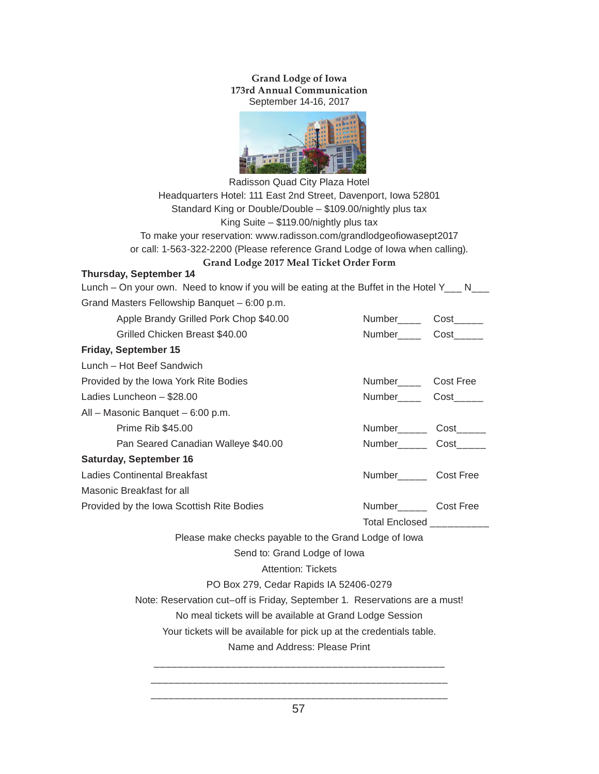**Grand Lodge of Iowa 173rd Annual Communication** September 14-16, 2017



Radisson Quad City Plaza Hotel Headquarters Hotel: 111 East 2nd Street, Davenport, Iowa 52801 Standard King or Double/Double – \$109.00/nightly plus tax King Suite – \$119.00/nightly plus tax To make your reservation: www.radisson.com/grandlodgeofiowasept2017 or call: 1-563-322-2200 (Please reference Grand Lodge of Iowa when calling).

## **Grand Lodge 2017 Meal Ticket Order Form**

## **Thursday, September 14**

| Lunch – On your own. Need to know if you will be eating at the Buffet in the Hotel $Y_{---}$ N <sub>---</sub> |                                    |  |  |  |  |  |  |
|---------------------------------------------------------------------------------------------------------------|------------------------------------|--|--|--|--|--|--|
| Grand Masters Fellowship Banquet - 6:00 p.m.                                                                  |                                    |  |  |  |  |  |  |
| Apple Brandy Grilled Pork Chop \$40.00                                                                        | Number Cost                        |  |  |  |  |  |  |
| Grilled Chicken Breast \$40.00                                                                                | Number______ Cost______            |  |  |  |  |  |  |
| Friday, September 15                                                                                          |                                    |  |  |  |  |  |  |
| Lunch - Hot Beef Sandwich                                                                                     |                                    |  |  |  |  |  |  |
| Provided by the Iowa York Rite Bodies                                                                         | Number <sub>____</sub> Cost Free   |  |  |  |  |  |  |
| Ladies Luncheon - \$28.00                                                                                     | Number_____ Cost_____              |  |  |  |  |  |  |
| All - Masonic Banquet - 6:00 p.m.                                                                             |                                    |  |  |  |  |  |  |
| <b>Prime Rib \$45.00</b>                                                                                      | Number<br><u> Cost</u>             |  |  |  |  |  |  |
| Pan Seared Canadian Walleye \$40.00                                                                           | Number______ Cost_____             |  |  |  |  |  |  |
| <b>Saturday, September 16</b>                                                                                 |                                    |  |  |  |  |  |  |
| <b>Ladies Continental Breakfast</b>                                                                           | Number_______ Cost Free            |  |  |  |  |  |  |
| Masonic Breakfast for all                                                                                     |                                    |  |  |  |  |  |  |
| Provided by the Iowa Scottish Rite Bodies                                                                     | Number<br><u> Letter</u> Cost Free |  |  |  |  |  |  |
| Total Enclosed __________                                                                                     |                                    |  |  |  |  |  |  |
| Please make checks payable to the Grand Lodge of Iowa                                                         |                                    |  |  |  |  |  |  |
| Send to: Grand Lodge of Iowa                                                                                  |                                    |  |  |  |  |  |  |
| <b>Attention: Tickets</b>                                                                                     |                                    |  |  |  |  |  |  |
| PO Box 279, Cedar Rapids IA 52406-0279                                                                        |                                    |  |  |  |  |  |  |
| Note: Reservation cut-off is Friday, September 1. Reservations are a must!                                    |                                    |  |  |  |  |  |  |
| No meal tickets will be available at Grand Lodge Session                                                      |                                    |  |  |  |  |  |  |
| Your tickets will be available for pick up at the credentials table.                                          |                                    |  |  |  |  |  |  |
| Name and Address: Please Print                                                                                |                                    |  |  |  |  |  |  |
|                                                                                                               |                                    |  |  |  |  |  |  |
|                                                                                                               |                                    |  |  |  |  |  |  |
|                                                                                                               |                                    |  |  |  |  |  |  |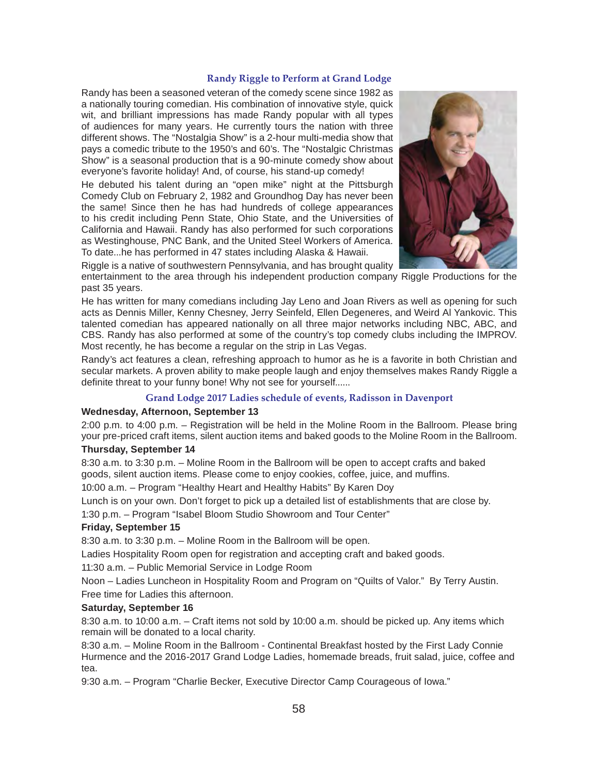#### **Randy Riggle to Perform at Grand Lodge**

Randy has been a seasoned veteran of the comedy scene since 1982 as a nationally touring comedian. His combination of innovative style, quick wit, and brilliant impressions has made Randy popular with all types of audiences for many years. He currently tours the nation with three different shows. The "Nostalgia Show" is a 2-hour multi-media show that pays a comedic tribute to the 1950's and 60's. The "Nostalgic Christmas Show" is a seasonal production that is a 90-minute comedy show about everyone's favorite holiday! And, of course, his stand-up comedy!

He debuted his talent during an "open mike" night at the Pittsburgh Comedy Club on February 2, 1982 and Groundhog Day has never been the same! Since then he has had hundreds of college appearances to his credit including Penn State, Ohio State, and the Universities of California and Hawaii. Randy has also performed for such corporations as Westinghouse, PNC Bank, and the United Steel Workers of America. To date...he has performed in 47 states including Alaska & Hawaii.



Riggle is a native of southwestern Pennsylvania, and has brought quality

entertainment to the area through his independent production company Riggle Productions for the past 35 years.

He has written for many comedians including Jay Leno and Joan Rivers as well as opening for such acts as Dennis Miller, Kenny Chesney, Jerry Seinfeld, Ellen Degeneres, and Weird Al Yankovic. This talented comedian has appeared nationally on all three major networks including NBC, ABC, and CBS. Randy has also performed at some of the country's top comedy clubs including the IMPROV. Most recently, he has become a regular on the strip in Las Vegas.

Randy's act features a clean, refreshing approach to humor as he is a favorite in both Christian and secular markets. A proven ability to make people laugh and enjoy themselves makes Randy Riggle a definite threat to your funny bone! Why not see for yourself......

## **Grand Lodge 2017 Ladies schedule of events, Radisson in Davenport**

#### **Wednesday, Afternoon, September 13**

2:00 p.m. to 4:00 p.m. – Registration will be held in the Moline Room in the Ballroom. Please bring your pre-priced craft items, silent auction items and baked goods to the Moline Room in the Ballroom.

## **Thursday, September 14**

8:30 a.m. to 3:30 p.m. – Moline Room in the Ballroom will be open to accept crafts and baked goods, silent auction items. Please come to enjoy cookies, coffee, juice, and muffins.

10:00 a.m. – Program "Healthy Heart and Healthy Habits" By Karen Doy

Lunch is on your own. Don't forget to pick up a detailed list of establishments that are close by. 1:30 p.m. – Program "Isabel Bloom Studio Showroom and Tour Center"

## **Friday, September 15**

8:30 a.m. to 3:30 p.m. – Moline Room in the Ballroom will be open.

Ladies Hospitality Room open for registration and accepting craft and baked goods.

11:30 a.m. – Public Memorial Service in Lodge Room

Noon – Ladies Luncheon in Hospitality Room and Program on "Quilts of Valor." By Terry Austin. Free time for Ladies this afternoon.

## **Saturday, September 16**

8:30 a.m. to 10:00 a.m. – Craft items not sold by 10:00 a.m. should be picked up. Any items which remain will be donated to a local charity.

8:30 a.m. – Moline Room in the Ballroom - Continental Breakfast hosted by the First Lady Connie Hurmence and the 2016-2017 Grand Lodge Ladies, homemade breads, fruit salad, juice, coffee and tea.

9:30 a.m. – Program "Charlie Becker, Executive Director Camp Courageous of Iowa."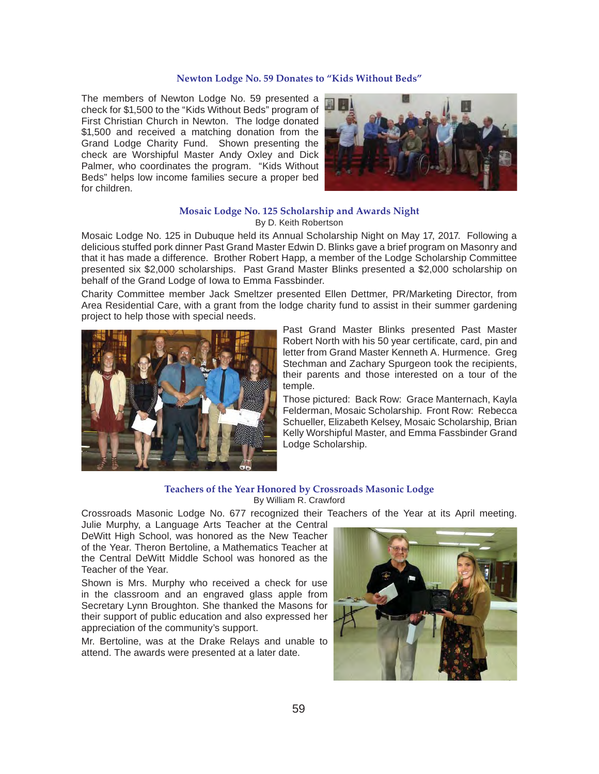#### **Newton Lodge No. 59 Donates to "Kids Without Beds"**

The members of Newton Lodge No. 59 presented a check for \$1,500 to the "Kids Without Beds" program of First Christian Church in Newton. The lodge donated \$1,500 and received a matching donation from the Grand Lodge Charity Fund. Shown presenting the check are Worshipful Master Andy Oxley and Dick Palmer, who coordinates the program. "Kids Without Beds" helps low income families secure a proper bed for children.



#### **Mosaic Lodge No. 125 Scholarship and Awards Night** By D. Keith Robertson

Mosaic Lodge No. 125 in Dubuque held its Annual Scholarship Night on May 17, 2017. Following a delicious stuffed pork dinner Past Grand Master Edwin D. Blinks gave a brief program on Masonry and that it has made a difference. Brother Robert Happ, a member of the Lodge Scholarship Committee presented six \$2,000 scholarships. Past Grand Master Blinks presented a \$2,000 scholarship on behalf of the Grand Lodge of Iowa to Emma Fassbinder.

Charity Committee member Jack Smeltzer presented Ellen Dettmer, PR/Marketing Director, from Area Residential Care, with a grant from the lodge charity fund to assist in their summer gardening project to help those with special needs.



Past Grand Master Blinks presented Past Master Robert North with his 50 year certificate, card, pin and letter from Grand Master Kenneth A. Hurmence. Greg Stechman and Zachary Spurgeon took the recipients, their parents and those interested on a tour of the temple.

Those pictured: Back Row: Grace Manternach, Kayla Felderman, Mosaic Scholarship. Front Row: Rebecca Schueller, Elizabeth Kelsey, Mosaic Scholarship, Brian Kelly Worshipful Master, and Emma Fassbinder Grand Lodge Scholarship.

#### **Teachers of the Year Honored by Crossroads Masonic Lodge** By William R. Crawford

Crossroads Masonic Lodge No. 677 recognized their Teachers of the Year at its April meeting.

Julie Murphy, a Language Arts Teacher at the Central DeWitt High School, was honored as the New Teacher of the Year. Theron Bertoline, a Mathematics Teacher at the Central DeWitt Middle School was honored as the Teacher of the Year.

Shown is Mrs. Murphy who received a check for use in the classroom and an engraved glass apple from Secretary Lynn Broughton. She thanked the Masons for their support of public education and also expressed her appreciation of the community's support.

Mr. Bertoline, was at the Drake Relays and unable to attend. The awards were presented at a later date.

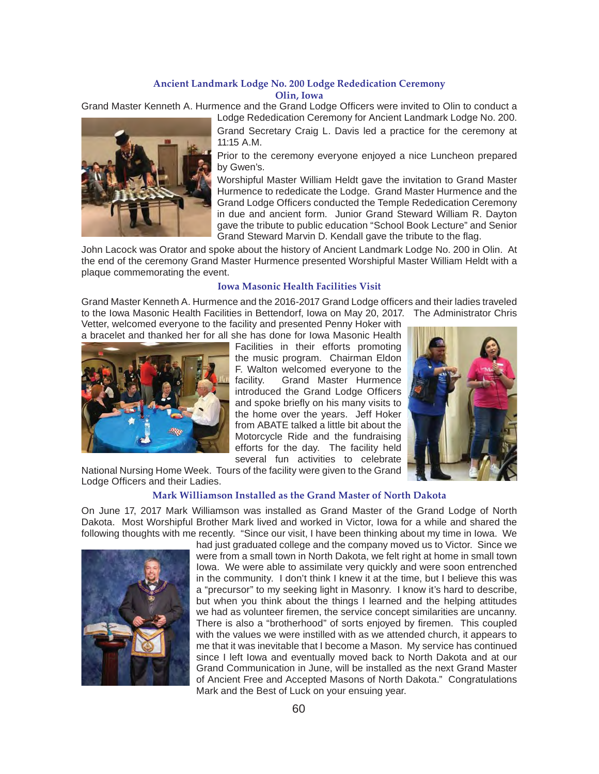#### **Ancient Landmark Lodge No. 200 Lodge Rededication Ceremony Olin, Iowa**

Grand Master Kenneth A. Hurmence and the Grand Lodge Officers were invited to Olin to conduct a Lodge Rededication Ceremony for Ancient Landmark Lodge No. 200.



Grand Secretary Craig L. Davis led a practice for the ceremony at 11:15 A.M.

Prior to the ceremony everyone enjoyed a nice Luncheon prepared by Gwen's.

Worshipful Master William Heldt gave the invitation to Grand Master Hurmence to rededicate the Lodge. Grand Master Hurmence and the Grand Lodge Officers conducted the Temple Rededication Ceremony in due and ancient form. Junior Grand Steward William R. Dayton gave the tribute to public education "School Book Lecture" and Senior Grand Steward Marvin D. Kendall gave the tribute to the flag.

John Lacock was Orator and spoke about the history of Ancient Landmark Lodge No. 200 in Olin. At the end of the ceremony Grand Master Hurmence presented Worshipful Master William Heldt with a plaque commemorating the event.

#### **Iowa Masonic Health Facilities Visit**

Grand Master Kenneth A. Hurmence and the 2016-2017 Grand Lodge officers and their ladies traveled to the Iowa Masonic Health Facilities in Bettendorf, Iowa on May 20, 2017. The Administrator Chris Vetter, welcomed everyone to the facility and presented Penny Hoker with

a bracelet and thanked her for all she has done for Iowa Masonic Health



Facilities in their efforts promoting the music program. Chairman Eldon F. Walton welcomed everyone to the facility. Grand Master Hurmence introduced the Grand Lodge Officers and spoke briefly on his many visits to the home over the years. Jeff Hoker from ABATE talked a little bit about the Motorcycle Ride and the fundraising efforts for the day. The facility held several fun activities to celebrate



National Nursing Home Week. Tours of the facility were given to the Grand Lodge Officers and their Ladies.

#### **Mark Williamson Installed as the Grand Master of North Dakota**

On June 17, 2017 Mark Williamson was installed as Grand Master of the Grand Lodge of North Dakota. Most Worshipful Brother Mark lived and worked in Victor, Iowa for a while and shared the following thoughts with me recently. "Since our visit, I have been thinking about my time in Iowa. We



had just graduated college and the company moved us to Victor. Since we were from a small town in North Dakota, we felt right at home in small town Iowa. We were able to assimilate very quickly and were soon entrenched in the community. I don't think I knew it at the time, but I believe this was a "precursor" to my seeking light in Masonry. I know it's hard to describe, but when you think about the things I learned and the helping attitudes we had as volunteer firemen, the service concept similarities are uncanny. There is also a "brotherhood" of sorts enjoyed by firemen. This coupled with the values we were instilled with as we attended church, it appears to me that it was inevitable that I become a Mason. My service has continued since I left Iowa and eventually moved back to North Dakota and at our Grand Communication in June, will be installed as the next Grand Master of Ancient Free and Accepted Masons of North Dakota." Congratulations Mark and the Best of Luck on your ensuing year.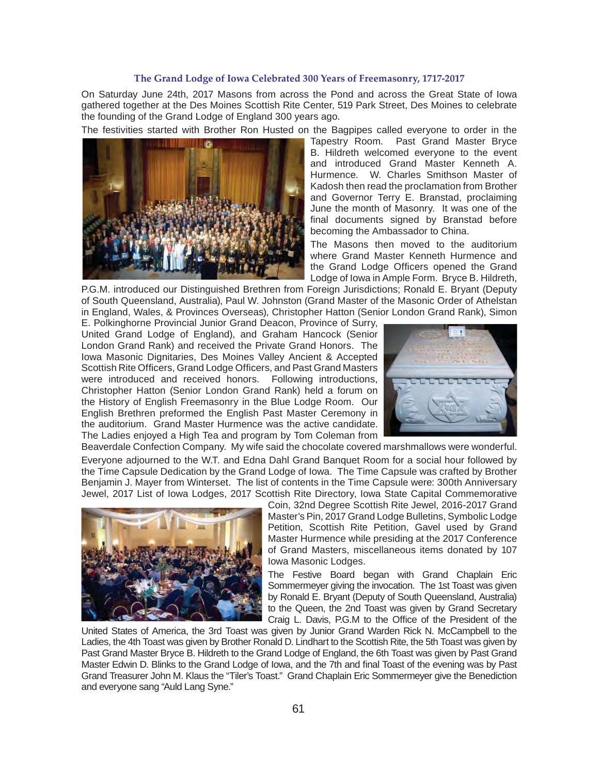### **The Grand Lodge of Iowa Celebrated 300 Years of Freemasonry, 1717-2017**

On Saturday June 24th, 2017 Masons from across the Pond and across the Great State of Iowa gathered together at the Des Moines Scottish Rite Center, 519 Park Street, Des Moines to celebrate the founding of the Grand Lodge of England 300 years ago.

The festivities started with Brother Ron Husted on the Bagpipes called everyone to order in the



Tapestry Room. Past Grand Master Bryce B. Hildreth welcomed everyone to the event and introduced Grand Master Kenneth A. Hurmence. W. Charles Smithson Master of Kadosh then read the proclamation from Brother and Governor Terry E. Branstad, proclaiming June the month of Masonry. It was one of the final documents signed by Branstad before becoming the Ambassador to China.

The Masons then moved to the auditorium where Grand Master Kenneth Hurmence and the Grand Lodge Officers opened the Grand Lodge of Iowa in Ample Form. Bryce B. Hildreth,

P.G.M. introduced our Distinguished Brethren from Foreign Jurisdictions; Ronald E. Bryant (Deputy of South Queensland, Australia), Paul W. Johnston (Grand Master of the Masonic Order of Athelstan in England, Wales, & Provinces Overseas), Christopher Hatton (Senior London Grand Rank), Simon

E. Polkinghorne Provincial Junior Grand Deacon, Province of Surry, United Grand Lodge of England), and Graham Hancock (Senior London Grand Rank) and received the Private Grand Honors. The Iowa Masonic Dignitaries, Des Moines Valley Ancient & Accepted Scottish Rite Officers, Grand Lodge Officers, and Past Grand Masters were introduced and received honors. Following introductions, Christopher Hatton (Senior London Grand Rank) held a forum on the History of English Freemasonry in the Blue Lodge Room. Our English Brethren preformed the English Past Master Ceremony in the auditorium. Grand Master Hurmence was the active candidate. The Ladies enjoyed a High Tea and program by Tom Coleman from



Beaverdale Confection Company. My wife said the chocolate covered marshmallows were wonderful. Everyone adjourned to the W.T. and Edna Dahl Grand Banquet Room for a social hour followed by the Time Capsule Dedication by the Grand Lodge of Iowa. The Time Capsule was crafted by Brother Benjamin J. Mayer from Winterset. The list of contents in the Time Capsule were: 300th Anniversary Jewel, 2017 List of Iowa Lodges, 2017 Scottish Rite Directory, Iowa State Capital Commemorative



Coin, 32nd Degree Scottish Rite Jewel, 2016-2017 Grand Master's Pin, 2017 Grand Lodge Bulletins, Symbolic Lodge Petition, Scottish Rite Petition, Gavel used by Grand Master Hurmence while presiding at the 2017 Conference of Grand Masters, miscellaneous items donated by 107 Iowa Masonic Lodges.

The Festive Board began with Grand Chaplain Eric Sommermeyer giving the invocation. The 1st Toast was given by Ronald E. Bryant (Deputy of South Queensland, Australia) to the Queen, the 2nd Toast was given by Grand Secretary Craig L. Davis, P.G.M to the Office of the President of the

United States of America, the 3rd Toast was given by Junior Grand Warden Rick N. McCampbell to the Ladies, the 4th Toast was given by Brother Ronald D. Lindhart to the Scottish Rite, the 5th Toast was given by Past Grand Master Bryce B. Hildreth to the Grand Lodge of England, the 6th Toast was given by Past Grand Master Edwin D. Blinks to the Grand Lodge of Iowa, and the 7th and final Toast of the evening was by Past Grand Treasurer John M. Klaus the "Tiler's Toast." Grand Chaplain Eric Sommermeyer give the Benediction and everyone sang "Auld Lang Syne."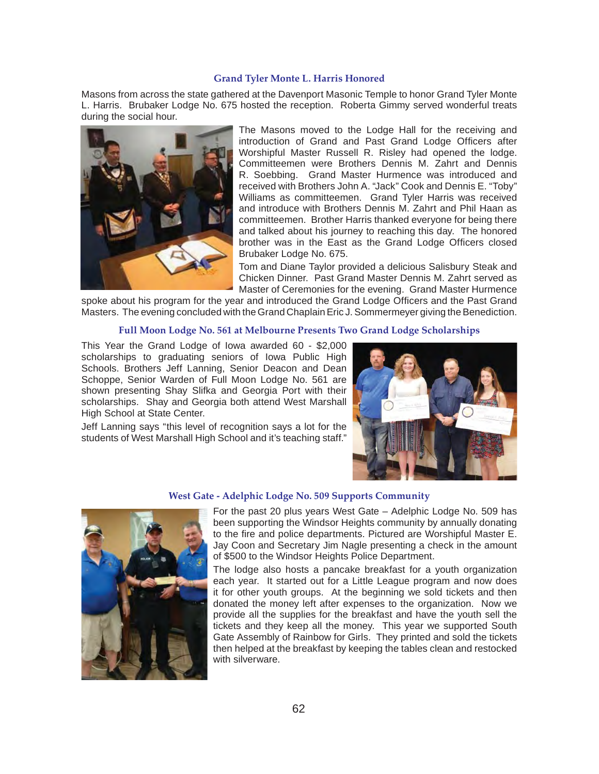#### **Grand Tyler Monte L. Harris Honored**

Masons from across the state gathered at the Davenport Masonic Temple to honor Grand Tyler Monte L. Harris. Brubaker Lodge No. 675 hosted the reception. Roberta Gimmy served wonderful treats during the social hour.



The Masons moved to the Lodge Hall for the receiving and introduction of Grand and Past Grand Lodge Officers after Worshipful Master Russell R. Risley had opened the lodge. Committeemen were Brothers Dennis M. Zahrt and Dennis R. Soebbing. Grand Master Hurmence was introduced and received with Brothers John A. "Jack" Cook and Dennis E. "Toby" Williams as committeemen. Grand Tyler Harris was received and introduce with Brothers Dennis M. Zahrt and Phil Haan as committeemen. Brother Harris thanked everyone for being there and talked about his journey to reaching this day. The honored brother was in the East as the Grand Lodge Officers closed Brubaker Lodge No. 675.

Tom and Diane Taylor provided a delicious Salisbury Steak and Chicken Dinner. Past Grand Master Dennis M. Zahrt served as Master of Ceremonies for the evening. Grand Master Hurmence

spoke about his program for the year and introduced the Grand Lodge Officers and the Past Grand Masters. The evening concluded with the Grand Chaplain Eric J. Sommermeyer giving the Benediction.

#### **Full Moon Lodge No. 561 at Melbourne Presents Two Grand Lodge Scholarships**

This Year the Grand Lodge of Iowa awarded 60 - \$2,000 scholarships to graduating seniors of Iowa Public High Schools. Brothers Jeff Lanning, Senior Deacon and Dean Schoppe, Senior Warden of Full Moon Lodge No. 561 are shown presenting Shay Slifka and Georgia Port with their scholarships. Shay and Georgia both attend West Marshall High School at State Center.

Jeff Lanning says "this level of recognition says a lot for the students of West Marshall High School and it's teaching staff."



#### **West Gate - Adelphic Lodge No. 509 Supports Community**



For the past 20 plus years West Gate – Adelphic Lodge No. 509 has been supporting the Windsor Heights community by annually donating to the fire and police departments. Pictured are Worshipful Master E. Jay Coon and Secretary Jim Nagle presenting a check in the amount of \$500 to the Windsor Heights Police Department.

The lodge also hosts a pancake breakfast for a youth organization each year. It started out for a Little League program and now does it for other youth groups. At the beginning we sold tickets and then donated the money left after expenses to the organization. Now we provide all the supplies for the breakfast and have the youth sell the tickets and they keep all the money. This year we supported South Gate Assembly of Rainbow for Girls. They printed and sold the tickets then helped at the breakfast by keeping the tables clean and restocked with silverware.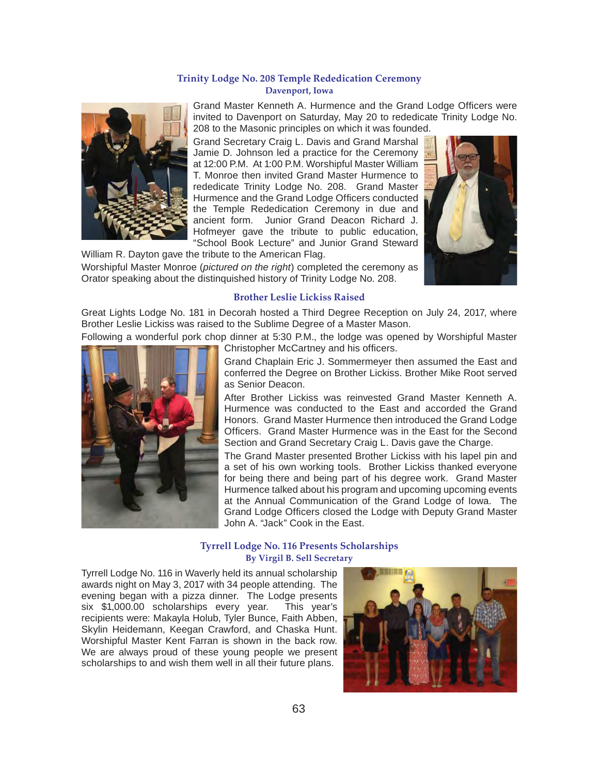#### **Trinity Lodge No. 208 Temple Rededication Ceremony Davenport, Iowa**



Grand Master Kenneth A. Hurmence and the Grand Lodge Officers were invited to Davenport on Saturday, May 20 to rededicate Trinity Lodge No. 208 to the Masonic principles on which it was founded.

Grand Secretary Craig L. Davis and Grand Marshal Jamie D. Johnson led a practice for the Ceremony at 12:00 P.M. At 1:00 P.M. Worshipful Master William T. Monroe then invited Grand Master Hurmence to rededicate Trinity Lodge No. 208. Grand Master Hurmence and the Grand Lodge Officers conducted the Temple Rededication Ceremony in due and ancient form. Junior Grand Deacon Richard J. Hofmeyer gave the tribute to public education, "School Book Lecture" and Junior Grand Steward

William R. Dayton gave the tribute to the American Flag.

Worshipful Master Monroe (*pictured on the right*) completed the ceremony as Orator speaking about the distinquished history of Trinity Lodge No. 208.



#### **Brother Leslie Lickiss Raised**

Great Lights Lodge No. 181 in Decorah hosted a Third Degree Reception on July 24, 2017, where Brother Leslie Lickiss was raised to the Sublime Degree of a Master Mason.

Following a wonderful pork chop dinner at 5:30 P.M., the lodge was opened by Worshipful Master Christopher McCartney and his officers.



Grand Chaplain Eric J. Sommermeyer then assumed the East and conferred the Degree on Brother Lickiss. Brother Mike Root served as Senior Deacon.

After Brother Lickiss was reinvested Grand Master Kenneth A. Hurmence was conducted to the East and accorded the Grand Honors. Grand Master Hurmence then introduced the Grand Lodge Officers. Grand Master Hurmence was in the East for the Second Section and Grand Secretary Craig L. Davis gave the Charge.

The Grand Master presented Brother Lickiss with his lapel pin and a set of his own working tools. Brother Lickiss thanked everyone for being there and being part of his degree work. Grand Master Hurmence talked about his program and upcoming upcoming events at the Annual Communication of the Grand Lodge of Iowa. The Grand Lodge Officers closed the Lodge with Deputy Grand Master John A. "Jack" Cook in the East.

#### **Tyrrell Lodge No. 116 Presents Scholarships By Virgil B. Sell Secretary**

Tyrrell Lodge No. 116 in Waverly held its annual scholarship awards night on May 3, 2017 with 34 people attending. The evening began with a pizza dinner. The Lodge presents six \$1,000.00 scholarships every year. This year's recipients were: Makayla Holub, Tyler Bunce, Faith Abben, Skylin Heidemann, Keegan Crawford, and Chaska Hunt. Worshipful Master Kent Farran is shown in the back row. We are always proud of these young people we present scholarships to and wish them well in all their future plans.

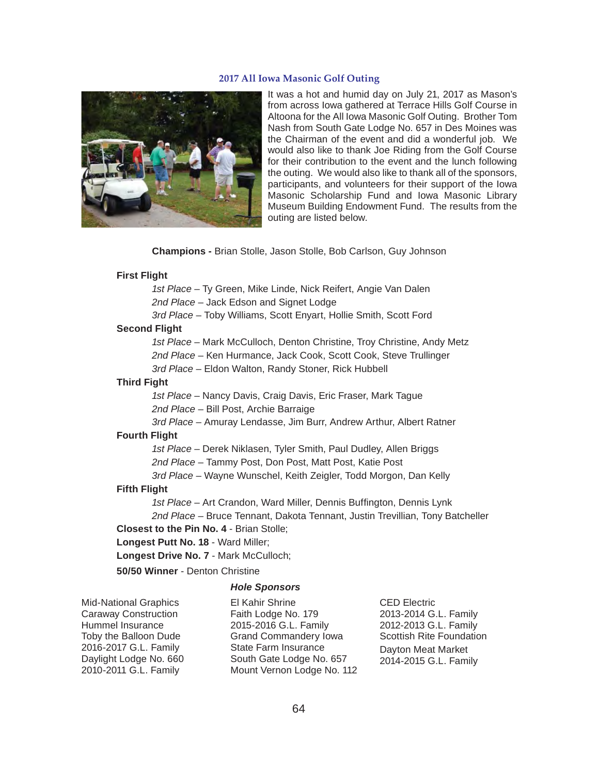#### **2017 All Iowa Masonic Golf Outing**



It was a hot and humid day on July 21, 2017 as Mason's from across Iowa gathered at Terrace Hills Golf Course in Altoona for the All Iowa Masonic Golf Outing. Brother Tom Nash from South Gate Lodge No. 657 in Des Moines was the Chairman of the event and did a wonderful job. We would also like to thank Joe Riding from the Golf Course for their contribution to the event and the lunch following the outing. We would also like to thank all of the sponsors, participants, and volunteers for their support of the Iowa Masonic Scholarship Fund and Iowa Masonic Library Museum Building Endowment Fund. The results from the outing are listed below.

**Champions -** Brian Stolle, Jason Stolle, Bob Carlson, Guy Johnson

#### **First Flight**

*1st Place* – Ty Green, Mike Linde, Nick Reifert, Angie Van Dalen

*2nd Place* – Jack Edson and Signet Lodge

*3rd Place* – Toby Williams, Scott Enyart, Hollie Smith, Scott Ford

#### **Second Flight**

 *1st Place* – Mark McCulloch, Denton Christine, Troy Christine, Andy Metz *2nd Place* – Ken Hurmance, Jack Cook, Scott Cook, Steve Trullinger *3rd Place* – Eldon Walton, Randy Stoner, Rick Hubbell

#### **Third Fight**

 *1st Place* – Nancy Davis, Craig Davis, Eric Fraser, Mark Tague *2nd Place* – Bill Post, Archie Barraige

*3rd Place* – Amuray Lendasse, Jim Burr, Andrew Arthur, Albert Ratner

#### **Fourth Flight**

*1st Place* – Derek Niklasen, Tyler Smith, Paul Dudley, Allen Briggs

*2nd Place* – Tammy Post, Don Post, Matt Post, Katie Post

*3rd Place* – Wayne Wunschel, Keith Zeigler, Todd Morgon, Dan Kelly

#### **Fifth Flight**

1st Place – Art Crandon, Ward Miller, Dennis Buffington, Dennis Lynk *2nd Place* – Bruce Tennant, Dakota Tennant, Justin Trevillian, Tony Batcheller

**Closest to the Pin No. 4** - Brian Stolle;

**Longest Putt No. 18** - Ward Miller;

**Longest Drive No. 7** - Mark McCulloch;

**50/50 Winner** - Denton Christine

#### *Hole Sponsors*

Mid-National Graphics Caraway Construction Hummel Insurance Toby the Balloon Dude 2016-2017 G.L. Family Daylight Lodge No. 660 2010-2011 G.L. Family

El Kahir Shrine Faith Lodge No. 179 2015-2016 G.L. Family Grand Commandery Iowa State Farm Insurance South Gate Lodge No. 657 Mount Vernon Lodge No. 112 CED Electric 2013-2014 G.L. Family 2012-2013 G.L. Family Scottish Rite Foundation Dayton Meat Market 2014-2015 G.L. Family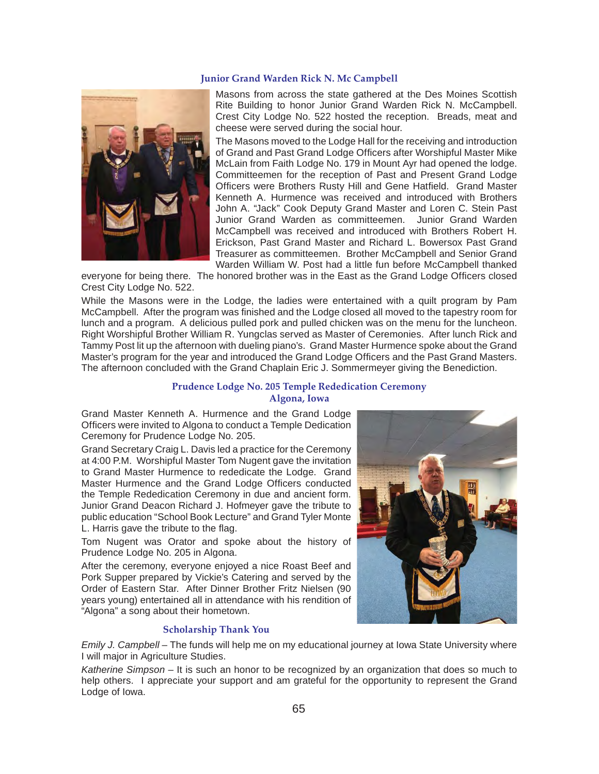#### **Junior Grand Warden Rick N. Mc Campbell**



Masons from across the state gathered at the Des Moines Scottish Rite Building to honor Junior Grand Warden Rick N. McCampbell. Crest City Lodge No. 522 hosted the reception. Breads, meat and cheese were served during the social hour.

The Masons moved to the Lodge Hall for the receiving and introduction of Grand and Past Grand Lodge Officers after Worshipful Master Mike McLain from Faith Lodge No. 179 in Mount Ayr had opened the lodge. Committeemen for the reception of Past and Present Grand Lodge Officers were Brothers Rusty Hill and Gene Hatfield. Grand Master Kenneth A. Hurmence was received and introduced with Brothers John A. "Jack" Cook Deputy Grand Master and Loren C. Stein Past Junior Grand Warden as committeemen. Junior Grand Warden McCampbell was received and introduced with Brothers Robert H. Erickson, Past Grand Master and Richard L. Bowersox Past Grand Treasurer as committeemen. Brother McCampbell and Senior Grand Warden William W. Post had a little fun before McCampbell thanked

everyone for being there. The honored brother was in the East as the Grand Lodge Officers closed Crest City Lodge No. 522.

While the Masons were in the Lodge, the ladies were entertained with a quilt program by Pam McCampbell. After the program was finished and the Lodge closed all moved to the tapestry room for lunch and a program. A delicious pulled pork and pulled chicken was on the menu for the luncheon. Right Worshipful Brother William R. Yungclas served as Master of Ceremonies. After lunch Rick and Tammy Post lit up the afternoon with dueling piano's. Grand Master Hurmence spoke about the Grand Master's program for the year and introduced the Grand Lodge Officers and the Past Grand Masters. The afternoon concluded with the Grand Chaplain Eric J. Sommermeyer giving the Benediction.

## **Prudence Lodge No. 205 Temple Rededication Ceremony**

**Algona, Iowa**

Grand Master Kenneth A. Hurmence and the Grand Lodge Officers were invited to Algona to conduct a Temple Dedication Ceremony for Prudence Lodge No. 205.

Grand Secretary Craig L. Davis led a practice for the Ceremony at 4:00 P.M. Worshipful Master Tom Nugent gave the invitation to Grand Master Hurmence to rededicate the Lodge. Grand Master Hurmence and the Grand Lodge Officers conducted the Temple Rededication Ceremony in due and ancient form. Junior Grand Deacon Richard J. Hofmeyer gave the tribute to public education "School Book Lecture" and Grand Tyler Monte L. Harris gave the tribute to the flag.

Tom Nugent was Orator and spoke about the history of Prudence Lodge No. 205 in Algona.

After the ceremony, everyone enjoyed a nice Roast Beef and Pork Supper prepared by Vickie's Catering and served by the Order of Eastern Star. After Dinner Brother Fritz Nielsen (90 years young) entertained all in attendance with his rendition of "Algona" a song about their hometown.

#### **Scholarship Thank You**

*Emily J. Campbell* – The funds will help me on my educational journey at Iowa State University where I will major in Agriculture Studies.

*Katherine Simpson* – It is such an honor to be recognized by an organization that does so much to help others. I appreciate your support and am grateful for the opportunity to represent the Grand Lodge of Iowa.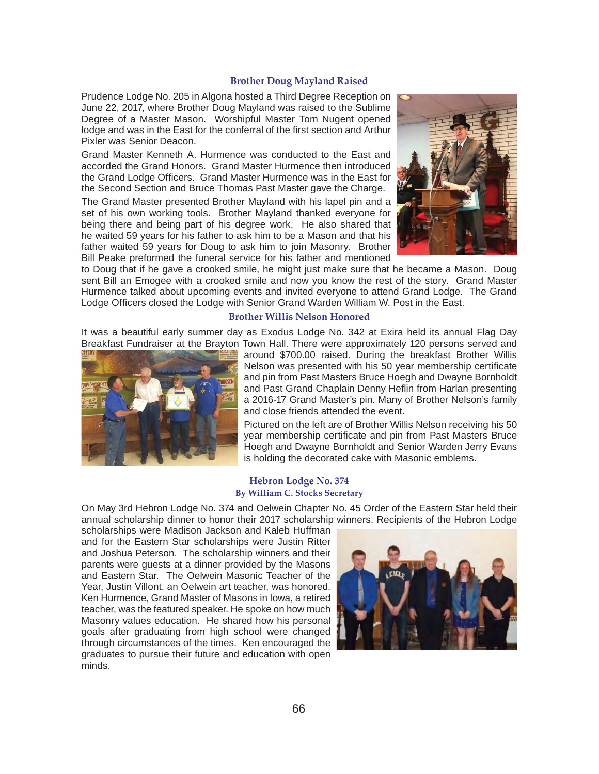#### **Brother Doug Mayland Raised**

Prudence Lodge No. 205 in Algona hosted a Third Degree Reception on June 22, 2017, where Brother Doug Mayland was raised to the Sublime Degree of a Master Mason. Worshipful Master Tom Nugent opened lodge and was in the East for the conferral of the first section and Arthur Pixler was Senior Deacon.

Grand Master Kenneth A. Hurmence was conducted to the East and accorded the Grand Honors. Grand Master Hurmence then introduced the Grand Lodge Officers. Grand Master Hurmence was in the East for the Second Section and Bruce Thomas Past Master gave the Charge.

The Grand Master presented Brother Mayland with his lapel pin and a set of his own working tools. Brother Mayland thanked everyone for being there and being part of his degree work. He also shared that he waited 59 years for his father to ask him to be a Mason and that his father waited 59 years for Doug to ask him to join Masonry. Brother Bill Peake preformed the funeral service for his father and mentioned



to Doug that if he gave a crooked smile, he might just make sure that he became a Mason. Doug sent Bill an Emogee with a crooked smile and now you know the rest of the story. Grand Master Hurmence talked about upcoming events and invited everyone to attend Grand Lodge. The Grand Lodge Officers closed the Lodge with Senior Grand Warden William W. Post in the East.

#### **Brother Willis Nelson Honored**

It was a beautiful early summer day as Exodus Lodge No. 342 at Exira held its annual Flag Day Breakfast Fundraiser at the Brayton Town Hall. There were approximately 120 persons served and



around \$700.00 raised. During the breakfast Brother Willis Nelson was presented with his 50 year membership certificate and pin from Past Masters Bruce Hoegh and Dwayne Bornholdt and Past Grand Chaplain Denny Heflin from Harlan presenting a 2016-17 Grand Master's pin. Many of Brother Nelson's family and close friends attended the event.

Pictured on the left are of Brother Willis Nelson receiving his 50 year membership certificate and pin from Past Masters Bruce Hoegh and Dwayne Bornholdt and Senior Warden Jerry Evans is holding the decorated cake with Masonic emblems.

#### **Hebron Lodge No. 374 By William C. Stocks Secretary**

On May 3rd Hebron Lodge No. 374 and Oelwein Chapter No. 45 Order of the Eastern Star held their annual scholarship dinner to honor their 2017 scholarship winners. Recipients of the Hebron Lodge

scholarships were Madison Jackson and Kaleb Huffman and for the Eastern Star scholarships were Justin Ritter and Joshua Peterson. The scholarship winners and their parents were guests at a dinner provided by the Masons and Eastern Star. The Oelwein Masonic Teacher of the Year, Justin Villont, an Oelwein art teacher, was honored. Ken Hurmence, Grand Master of Masons in Iowa, a retired teacher, was the featured speaker. He spoke on how much Masonry values education. He shared how his personal goals after graduating from high school were changed through circumstances of the times. Ken encouraged the graduates to pursue their future and education with open minds.

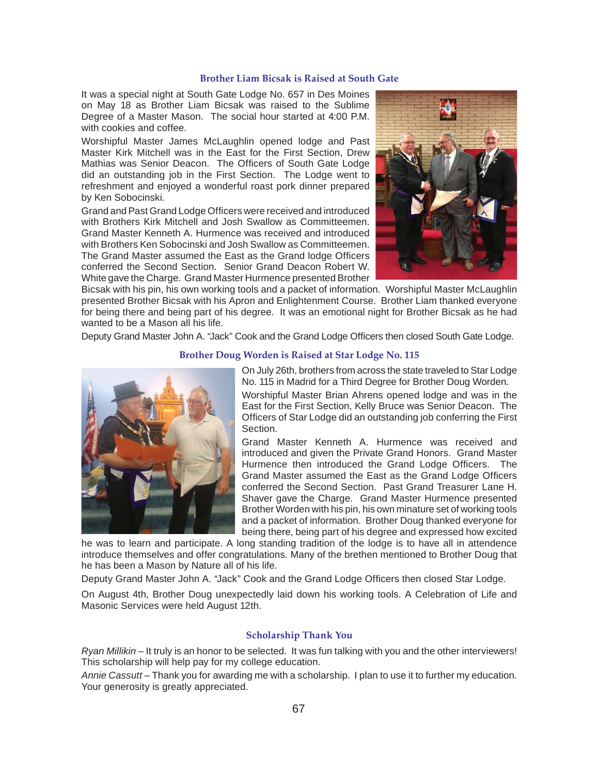#### **Brother Liam Bicsak is Raised at South Gate**

It was a special night at South Gate Lodge No. 657 in Des Moines on May 18 as Brother Liam Bicsak was raised to the Sublime Degree of a Master Mason. The social hour started at 4:00 P.M. with cookies and coffee.

Worshipful Master James McLaughlin opened lodge and Past Master Kirk Mitchell was in the East for the First Section, Drew Mathias was Senior Deacon. The Officers of South Gate Lodge did an outstanding job in the First Section. The Lodge went to refreshment and enjoyed a wonderful roast pork dinner prepared by Ken Sobocinski.

Grand and Past Grand Lodge Officers were received and introduced with Brothers Kirk Mitchell and Josh Swallow as Committeemen. Grand Master Kenneth A. Hurmence was received and introduced with Brothers Ken Sobocinski and Josh Swallow as Committeemen. The Grand Master assumed the East as the Grand lodge Officers conferred the Second Section. Senior Grand Deacon Robert W. White gave the Charge. Grand Master Hurmence presented Brother



Bicsak with his pin, his own working tools and a packet of information. Worshipful Master McLaughlin presented Brother Bicsak with his Apron and Enlightenment Course. Brother Liam thanked everyone for being there and being part of his degree. It was an emotional night for Brother Bicsak as he had wanted to be a Mason all his life.

Deputy Grand Master John A. "Jack" Cook and the Grand Lodge Officers then closed South Gate Lodge.

#### **Brother Doug Worden is Raised at Star Lodge No. 115**



On July 26th, brothers from across the state traveled to Star Lodge No. 115 in Madrid for a Third Degree for Brother Doug Worden.

Worshipful Master Brian Ahrens opened lodge and was in the East for the First Section, Kelly Bruce was Senior Deacon. The Officers of Star Lodge did an outstanding job conferring the First **Section** 

Grand Master Kenneth A. Hurmence was received and introduced and given the Private Grand Honors. Grand Master Hurmence then introduced the Grand Lodge Officers. The Grand Master assumed the East as the Grand Lodge Officers conferred the Second Section. Past Grand Treasurer Lane H. Shaver gave the Charge. Grand Master Hurmence presented Brother Worden with his pin, his own minature set of working tools and a packet of information. Brother Doug thanked everyone for being there, being part of his degree and expressed how excited

he was to learn and participate. A long standing tradition of the lodge is to have all in attendence introduce themselves and offer congratulations. Many of the brethen mentioned to Brother Doug that he has been a Mason by Nature all of his life.

Deputy Grand Master John A. "Jack" Cook and the Grand Lodge Officers then closed Star Lodge.

On August 4th, Brother Doug unexpectedly laid down his working tools. A Celebration of Life and Masonic Services were held August 12th.

### **Scholarship Thank You**

*Ryan Millikin* – It truly is an honor to be selected. It was fun talking with you and the other interviewers! This scholarship will help pay for my college education.

*Annie Cassutt* – Thank you for awarding me with a scholarship. I plan to use it to further my education. Your generosity is greatly appreciated.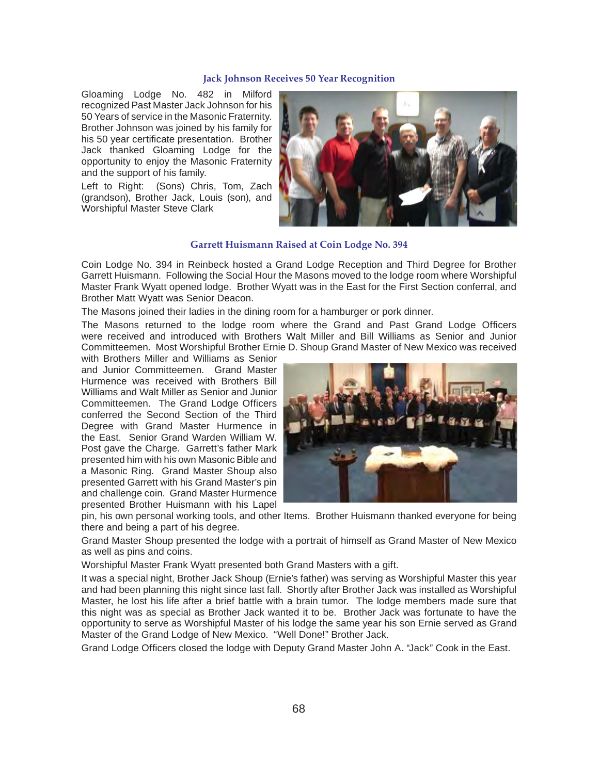#### **Jack Johnson Receives 50 Year Recognition**

Gloaming Lodge No. 482 in Milford recognized Past Master Jack Johnson for his 50 Years of service in the Masonic Fraternity. Brother Johnson was joined by his family for his 50 year certificate presentation. Brother Jack thanked Gloaming Lodge for the opportunity to enjoy the Masonic Fraternity and the support of his family.

Left to Right: (Sons) Chris, Tom, Zach (grandson), Brother Jack, Louis (son), and Worshipful Master Steve Clark



#### **Garrett Huismann Raised at Coin Lodge No. 394**

Coin Lodge No. 394 in Reinbeck hosted a Grand Lodge Reception and Third Degree for Brother Garrett Huismann. Following the Social Hour the Masons moved to the lodge room where Worshipful Master Frank Wyatt opened lodge. Brother Wyatt was in the East for the First Section conferral, and Brother Matt Wyatt was Senior Deacon.

The Masons joined their ladies in the dining room for a hamburger or pork dinner.

The Masons returned to the lodge room where the Grand and Past Grand Lodge Officers were received and introduced with Brothers Walt Miller and Bill Williams as Senior and Junior Committeemen. Most Worshipful Brother Ernie D. Shoup Grand Master of New Mexico was received

with Brothers Miller and Williams as Senior and Junior Committeemen. Grand Master Hurmence was received with Brothers Bill Williams and Walt Miller as Senior and Junior Committeemen. The Grand Lodge Officers conferred the Second Section of the Third Degree with Grand Master Hurmence in the East. Senior Grand Warden William W. Post gave the Charge. Garrett's father Mark presented him with his own Masonic Bible and a Masonic Ring. Grand Master Shoup also presented Garrett with his Grand Master's pin and challenge coin. Grand Master Hurmence presented Brother Huismann with his Lapel



pin, his own personal working tools, and other Items. Brother Huismann thanked everyone for being there and being a part of his degree.

Grand Master Shoup presented the lodge with a portrait of himself as Grand Master of New Mexico as well as pins and coins.

Worshipful Master Frank Wyatt presented both Grand Masters with a gift.

It was a special night, Brother Jack Shoup (Ernie's father) was serving as Worshipful Master this year and had been planning this night since last fall. Shortly after Brother Jack was installed as Worshipful Master, he lost his life after a brief battle with a brain tumor. The lodge members made sure that this night was as special as Brother Jack wanted it to be. Brother Jack was fortunate to have the opportunity to serve as Worshipful Master of his lodge the same year his son Ernie served as Grand Master of the Grand Lodge of New Mexico. "Well Done!" Brother Jack.

Grand Lodge Officers closed the lodge with Deputy Grand Master John A. "Jack" Cook in the East.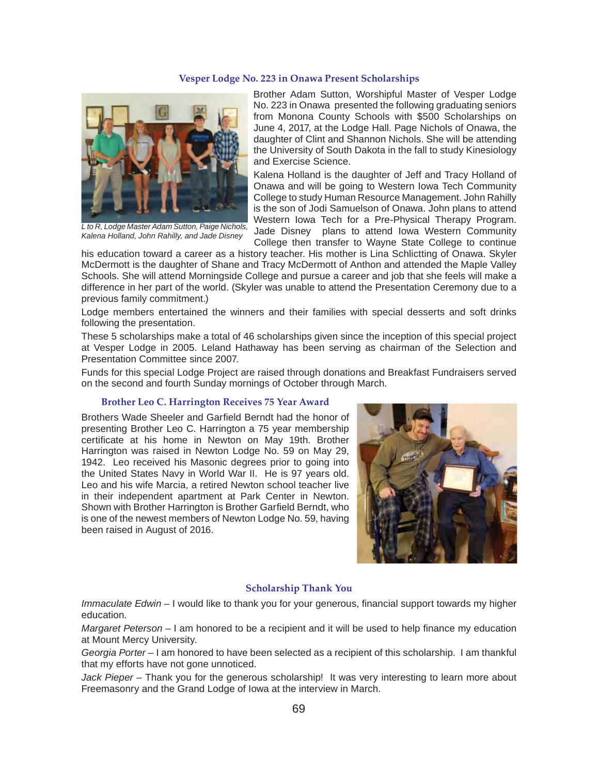#### **Vesper Lodge No. 223 in Onawa Present Scholarships**



*L to R, Lodge Master Adam Sutton, Paige Nichols, Kalena Holland, John Rahilly, and Jade Disney*

Brother Adam Sutton, Worshipful Master of Vesper Lodge No. 223 in Onawa presented the following graduating seniors from Monona County Schools with \$500 Scholarships on June 4, 2017, at the Lodge Hall. Page Nichols of Onawa, the daughter of Clint and Shannon Nichols. She will be attending the University of South Dakota in the fall to study Kinesiology and Exercise Science.

Kalena Holland is the daughter of Jeff and Tracy Holland of Onawa and will be going to Western Iowa Tech Community College to study Human Resource Management. John Rahilly is the son of Jodi Samuelson of Onawa. John plans to attend Western Iowa Tech for a Pre-Physical Therapy Program. Jade Disney plans to attend Iowa Western Community College then transfer to Wayne State College to continue

his education toward a career as a history teacher. His mother is Lina Schlictting of Onawa. Skyler McDermott is the daughter of Shane and Tracy McDermott of Anthon and attended the Maple Valley Schools. She will attend Morningside College and pursue a career and job that she feels will make a difference in her part of the world. (Skyler was unable to attend the Presentation Ceremony due to a previous family commitment.)

Lodge members entertained the winners and their families with special desserts and soft drinks following the presentation.

These 5 scholarships make a total of 46 scholarships given since the inception of this special project at Vesper Lodge in 2005. Leland Hathaway has been serving as chairman of the Selection and Presentation Committee since 2007.

Funds for this special Lodge Project are raised through donations and Breakfast Fundraisers served on the second and fourth Sunday mornings of October through March.

#### **Brother Leo C. Harrington Receives 75 Year Award**

Brothers Wade Sheeler and Garfield Berndt had the honor of presenting Brother Leo C. Harrington a 75 year membership certificate at his home in Newton on May 19th. Brother Harrington was raised in Newton Lodge No. 59 on May 29, 1942. Leo received his Masonic degrees prior to going into the United States Navy in World War II. He is 97 years old. Leo and his wife Marcia, a retired Newton school teacher live in their independent apartment at Park Center in Newton. Shown with Brother Harrington is Brother Garfield Berndt, who is one of the newest members of Newton Lodge No. 59, having been raised in August of 2016.



#### **Scholarship Thank You**

*Immaculate Edwin – I would like to thank you for your generous, financial support towards my higher* education.

*Margaret Peterson – I* am honored to be a recipient and it will be used to help finance my education at Mount Mercy University.

*Georgia Porter –* I am honored to have been selected as a recipient of this scholarship. I am thankful that my efforts have not gone unnoticed.

Jack Pieper – Thank you for the generous scholarship! It was very interesting to learn more about Freemasonry and the Grand Lodge of Iowa at the interview in March.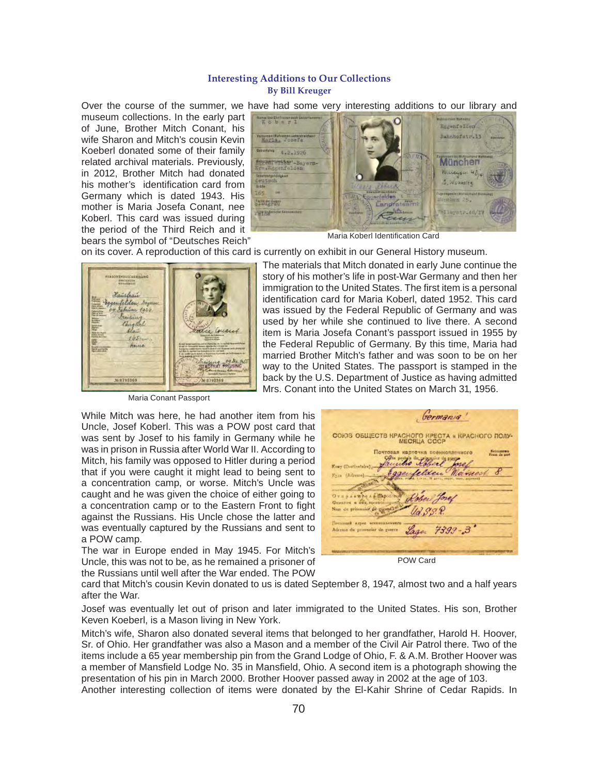#### **Interesting Additions to Our Collections By Bill Kreuger**

Over the course of the summer, we have had some very interesting additions to our library and museum collections. In the early part of June, Brother Mitch Conant, his wife Sharon and Mitch's cousin Kevin Koeberl donated some of their family related archival materials. Previously, in 2012, Brother Mitch had donated his mother's identification card from Germany which is dated 1943. His mother is Maria Josefa Conant, nee Koberl. This card was issued during the period of the Third Reich and it bears the symbol of "Deutsches Reich"



Maria Koberl Identification Card

on its cover. A reproduction of this card is currently on exhibit in our General History museum.



Maria Conant Passport

While Mitch was here, he had another item from his Uncle, Josef Koberl. This was a POW post card that was sent by Josef to his family in Germany while he was in prison in Russia after World War II. According to Mitch, his family was opposed to Hitler during a period that if you were caught it might lead to being sent to a concentration camp, or worse. Mitch's Uncle was caught and he was given the choice of either going to a concentration camp or to the Eastern Front to fight against the Russians. His Uncle chose the latter and was eventually captured by the Russians and sent to a POW camp.

The war in Europe ended in May 1945. For Mitch's Uncle, this was not to be, as he remained a prisoner of the Russians until well after the War ended. The POW

|                     | СОЮЗ ОБЩЕСТВ КРАСНОГО КРЕСТА и КРАСНОГО ПОЛУ- | <b>MECRUA CCCP</b>            |                                  |                                                 |
|---------------------|-----------------------------------------------|-------------------------------|----------------------------------|-------------------------------------------------|
|                     |                                               | Carta pealais du proganise de | Почтовая карточка военноплениого | <b><i><u>Economynt</u></i></b><br>Franz de nort |
| Kosy (Destinataire) |                                               |                               |                                  |                                                 |
| Kyza (Adresse)      |                                               | sentelden                     | ARTIC, ORDER, CANN., ANDERSON    |                                                 |
|                     | Drugger a can memorie of Robert Josef         |                               |                                  |                                                 |
|                     | Non du prisonnier de guerrell                 | Ud. S.S. P.                   |                                  |                                                 |
|                     | Постояний и дрес менинсилениесть              |                               |                                  |                                                 |
|                     | Adresse du prisonnier de guerra               |                               | Lage 7399-3'                     |                                                 |

POW Card

card that Mitch's cousin Kevin donated to us is dated September 8, 1947, almost two and a half years after the War.

Josef was eventually let out of prison and later immigrated to the United States. His son, Brother Keven Koeberl, is a Mason living in New York.

Mitch's wife, Sharon also donated several items that belonged to her grandfather, Harold H. Hoover, Sr. of Ohio. Her grandfather was also a Mason and a member of the Civil Air Patrol there. Two of the items include a 65 year membership pin from the Grand Lodge of Ohio, F. & A.M. Brother Hoover was a member of Mansfield Lodge No. 35 in Mansfield, Ohio. A second item is a photograph showing the presentation of his pin in March 2000. Brother Hoover passed away in 2002 at the age of 103.

Another interesting collection of items were donated by the El-Kahir Shrine of Cedar Rapids. In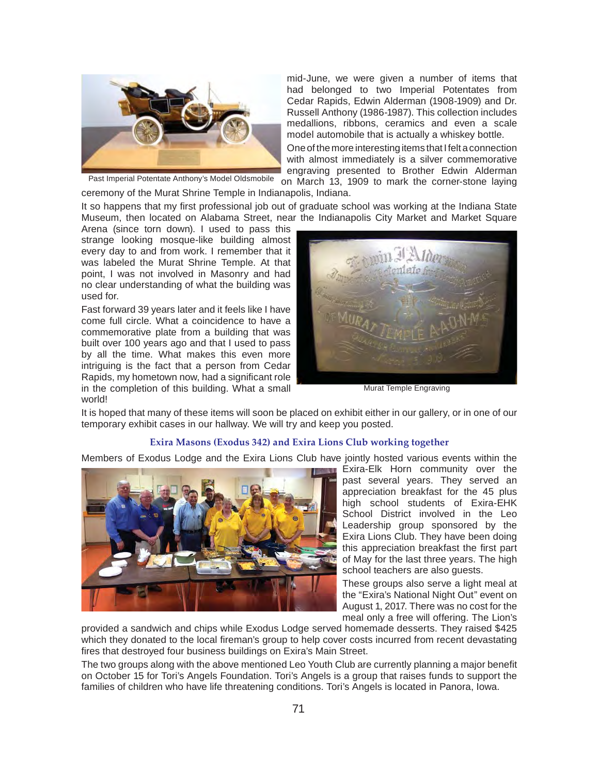

mid-June, we were given a number of items that had belonged to two Imperial Potentates from Cedar Rapids, Edwin Alderman (1908-1909) and Dr. Russell Anthony (1986-1987). This collection includes medallions, ribbons, ceramics and even a scale model automobile that is actually a whiskey bottle.

One of the more interesting items that I felt a connection with almost immediately is a silver commemorative engraving presented to Brother Edwin Alderman on March 13, 1909 to mark the corner-stone laying

Past Imperial Potentate Anthony's Model Oldsmobile

ceremony of the Murat Shrine Temple in Indianapolis, Indiana.

It so happens that my first professional job out of graduate school was working at the Indiana State Museum, then located on Alabama Street, near the Indianapolis City Market and Market Square

Arena (since torn down). I used to pass this strange looking mosque-like building almost every day to and from work. I remember that it was labeled the Murat Shrine Temple. At that point, I was not involved in Masonry and had no clear understanding of what the building was used for.

Fast forward 39 years later and it feels like I have come full circle. What a coincidence to have a commemorative plate from a building that was built over 100 years ago and that I used to pass by all the time. What makes this even more intriguing is the fact that a person from Cedar Rapids, my hometown now, had a significant role in the completion of this building. What a small world!



Murat Temple Engraving

It is hoped that many of these items will soon be placed on exhibit either in our gallery, or in one of our temporary exhibit cases in our hallway. We will try and keep you posted.

#### **Exira Masons (Exodus 342) and Exira Lions Club working together**

Members of Exodus Lodge and the Exira Lions Club have jointly hosted various events within the



Exira-Elk Horn community over the past several years. They served an appreciation breakfast for the 45 plus high school students of Exira-EHK School District involved in the Leo Leadership group sponsored by the Exira Lions Club. They have been doing this appreciation breakfast the first part of May for the last three years. The high school teachers are also guests.

These groups also serve a light meal at the "Exira's National Night Out" event on August 1, 2017. There was no cost for the meal only a free will offering. The Lion's

provided a sandwich and chips while Exodus Lodge served homemade desserts. They raised \$425 which they donated to the local fireman's group to help cover costs incurred from recent devastating fires that destroyed four business buildings on Exira's Main Street.

The two groups along with the above mentioned Leo Youth Club are currently planning a major benefit on October 15 for Tori's Angels Foundation. Tori's Angels is a group that raises funds to support the families of children who have life threatening conditions. Tori's Angels is located in Panora, Iowa.